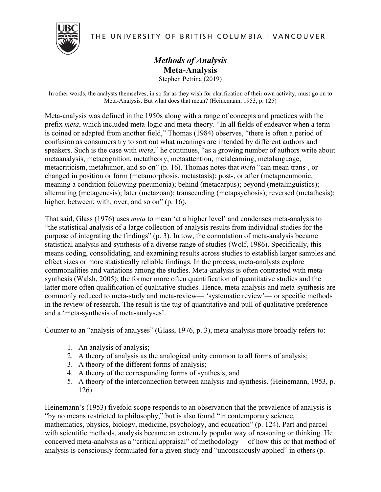THE UNIVERSITY OF BRITISH COLUMBIA | VANCOUVER

## *Methods of Analysis* **Meta-Analysis** Stephen Petrina (2019)

In other words, the analysts themselves, in so far as they wish for clarification of their own activity, must go on to Meta-Analysis. But what does that mean? (Heinemann, 1953, p. 125)

Meta-analysis was defined in the 1950s along with a range of concepts and practices with the prefix *meta*, which included meta-logic and meta-theory. "In all fields of endeavor when a term is coined or adapted from another field," Thomas (1984) observes, "there is often a period of confusion as consumers try to sort out what meanings are intended by different authors and speakers. Such is the case with *meta*," he continues, "as a growing number of authors write about metaanalysis, metacognition, metatheory, metaattention, metalearning, metalanguage, metacriticism, metahumor, and so on" (p. 16). Thomas notes that *meta* "can mean trans-, or changed in position or form (metamorphosis, metastasis); post-, or after (metapneumonic, meaning a condition following pneumonia); behind (metacarpus); beyond (metalinguistics); alternating (metagenesis); later (metazoan); transcending (metapsychosis); reversed (metathesis); higher; between; with; over; and so on" (p. 16).

That said, Glass (1976) uses *meta* to mean 'at a higher level' and condenses meta-analysis to "the statistical analysis of a large collection of analysis results from individual studies for the purpose of integrating the findings" (p. 3). In tow, the connotation of meta-analysis became statistical analysis and synthesis of a diverse range of studies (Wolf, 1986). Specifically, this means coding, consolidating, and examining results across studies to establish larger samples and effect sizes or more statistically reliable findings. In the process, meta-analysts explore commonalities and variations among the studies. Meta-analysis is often contrasted with metasynthesis (Walsh, 2005); the former more often quantification of quantitative studies and the latter more often qualification of qualitative studies. Hence, meta-analysis and meta-synthesis are commonly reduced to meta-study and meta-review— 'systematic review'— or specific methods in the review of research. The result is the tug of quantitative and pull of qualitative preference and a 'meta-synthesis of meta-analyses'.

Counter to an "analysis of analyses" (Glass, 1976, p. 3), meta-analysis more broadly refers to:

- 1. An analysis of analysis;
- 2. A theory of analysis as the analogical unity common to all forms of analysis;
- 3. A theory of the different forms of analysis;
- 4. A theory of the corresponding forms of synthesis; and
- 5. A theory of the interconnection between analysis and synthesis. (Heinemann, 1953, p. 126)

Heinemann's (1953) fivefold scope responds to an observation that the prevalence of analysis is "by no means restricted to philosophy," but is also found "in contemporary science, mathematics, physics, biology, medicine, psychology, and education" (p. 124). Part and parcel with scientific methods, analysis became an extremely popular way of reasoning or thinking. He conceived meta-analysis as a "critical appraisal" of methodology— of how this or that method of analysis is consciously formulated for a given study and "unconsciously applied" in others (p.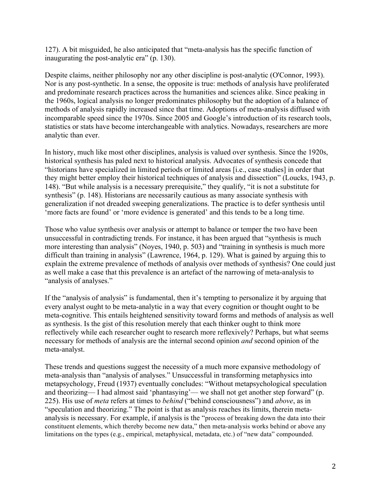127). A bit misguided, he also anticipated that "meta-analysis has the specific function of inaugurating the post-analytic era" (p. 130).

Despite claims, neither philosophy nor any other discipline is post-analytic (O'Connor, 1993). Nor is any post-synthetic. In a sense, the opposite is true: methods of analysis have proliferated and predominate research practices across the humanities and sciences alike. Since peaking in the 1960s, logical analysis no longer predominates philosophy but the adoption of a balance of methods of analysis rapidly increased since that time. Adoptions of meta-analysis diffused with incomparable speed since the 1970s. Since 2005 and Google's introduction of its research tools, statistics or stats have become interchangeable with analytics. Nowadays, researchers are more analytic than ever.

In history, much like most other disciplines, analysis is valued over synthesis. Since the 1920s, historical synthesis has paled next to historical analysis. Advocates of synthesis concede that "historians have specialized in limited periods or limited areas [i.e., case studies] in order that they might better employ their historical techniques of analysis and dissection" (Loucks, 1943, p. 148). "But while analysis is a necessary prerequisite," they qualify, "it is not a substitute for synthesis" (p. 148). Historians are necessarily cautious as many associate synthesis with generalization if not dreaded sweeping generalizations. The practice is to defer synthesis until 'more facts are found' or 'more evidence is generated' and this tends to be a long time.

Those who value synthesis over analysis or attempt to balance or temper the two have been unsuccessful in contradicting trends. For instance, it has been argued that "synthesis is much more interesting than analysis" (Noyes, 1940, p. 503) and "training in synthesis is much more difficult than training in analysis" (Lawrence, 1964, p. 129). What is gained by arguing this to explain the extreme prevalence of methods of analysis over methods of synthesis? One could just as well make a case that this prevalence is an artefact of the narrowing of meta-analysis to "analysis of analyses."

If the "analysis of analysis" is fundamental, then it's tempting to personalize it by arguing that every analyst ought to be meta-analytic in a way that every cognition or thought ought to be meta-cognitive. This entails heightened sensitivity toward forms and methods of analysis as well as synthesis. Is the gist of this resolution merely that each thinker ought to think more reflectively while each researcher ought to research more reflexively? Perhaps, but what seems necessary for methods of analysis are the internal second opinion *and* second opinion of the meta-analyst.

These trends and questions suggest the necessity of a much more expansive methodology of meta-analysis than "analysis of analyses." Unsuccessful in transforming metaphysics into metapsychology, Freud (1937) eventually concludes: "Without metapsychological speculation and theorizing— I had almost said 'phantasying'— we shall not get another step forward" (p. 225). His use of *meta* refers at times to *behind* ("behind consciousness") and *above*, as in "speculation and theorizing." The point is that as analysis reaches its limits, therein metaanalysis is necessary. For example, if analysis is the "process of breaking down the data into their constituent elements, which thereby become new data," then meta-analysis works behind or above any limitations on the types (e.g., empirical, metaphysical, metadata, etc.) of "new data" compounded.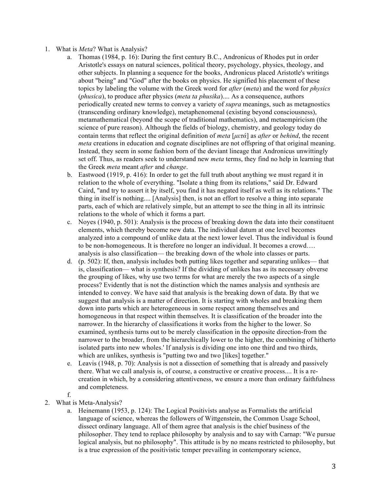- 1. What is *Meta*? What is Analysis?
	- a. Thomas (1984, p. 16): During the first century B.C., Andronicus of Rhodes put in order Aristotle's essays on natural sciences, political theory, psychology, physics, theology, and other subjects. In planning a sequence for the books, Andronicus placed Aristotle's writings about "being" and "God" after the books on physics. He signified his placement of these topics by labeling the volume with the Greek word for *after* (*meta*) and the word for *physics* (*phusica*), to produce after physics (*meta ta phusika*).... As a consequence, authors periodically created new terms to convey a variety of *supra* meanings, such as metagnostics (transcending ordinary knowledge), metaphenomenal (existing beyond consciousness), metamathematical (beyond the scope of traditional mathematics), and metaempiricism (the science of pure reason). Although the fields of biology, chemistry, and geology today do contain terms that reflect the original definition of *meta* [*µετά*] as *after* or *behind*, the recent *meta* creations in education and cognate disciplines are not offspring of that original meaning. Instead, they seem in some fashion born of the deviant lineage that Andronicus unwittingly set off. Thus, as readers seek to understand new *meta* terms, they find no help in learning that the Greek *meta* meant *after* and *change*.
	- b. Eastwood (1919, p. 416): In order to get the full truth about anything we must regard it in relation to the whole of everything. "Isolate a thing from its relations," said Dr. Edward Caird, "and try to assert it by itself, you find it has negated itself as well as its relations." The thing in itself is nothing.... [Analysis] then, is not an effort to resolve a thing into separate parts, each of which are relatively simple, but an attempt to see the thing in all its intrinsic relations to the whole of which it forms a part.
	- c. Noyes (1940, p. 501): Analysis is the process of breaking down the data into their constituent elements, which thereby become new data. The individual datum at one level becomes analyzed into a compound of unlike data at the next lower level. Thus the individual is found to be non-homogeneous. It is therefore no longer an individual. It becomes a crowd…. analysis is also classification— the breaking down of the whole into classes or parts.
	- d. (p. 502): If, then, analysis includes both putting likes together and separating unlikes— that is, classification— what is synthesis? If the dividing of unlikes has as its necessary obverse the grouping of likes, why use two terms for what are merely the two aspects of a single process? Evidently that is not the distinction which the names analysis and synthesis are intended to convey. We have said that analysis is the breaking down of data. By that we suggest that analysis is a matter of direction. It is starting with wholes and breaking them down into parts which are heterogeneous in some respect among themselves and homogeneous in that respect within themselves. It is classification of the broader into the narrower. In the hierarchy of classifications it works from the higher to the lower. So examined, synthesis turns out to be merely classification in the opposite direction-from the narrower to the broader, from the hierarchically lower to the higher, the combining of hitherto isolated parts into new wholes.' If analysis is dividing one into one third and two thirds, which are unlikes, synthesis is "putting two and two [likes] together."
	- e. Leavis (1948, p. 70): Analysis is not a dissection of something that is already and passively there. What we call analysis is, of course, a constructive or creative process.... It is a recreation in which, by a considering attentiveness, we ensure a more than ordinary faithfulness and completeness.
	- f.
- 2. What is Meta-Analysis?
	- a. Heinemann (1953, p. 124): The Logical Positivists analyse as Formalists the artificial language of science, whereas the followers of Wittgenstein, the Common Usage School, dissect ordinary language. All of them agree that analysis is the chief business of the philosopher. They tend to replace philosophy by analysis and to say with Carnap: "We pursue logical analysis, but no philosophy". This attitude is by no means restricted to philosophy, but is a true expression of the positivistic temper prevailing in contemporary science,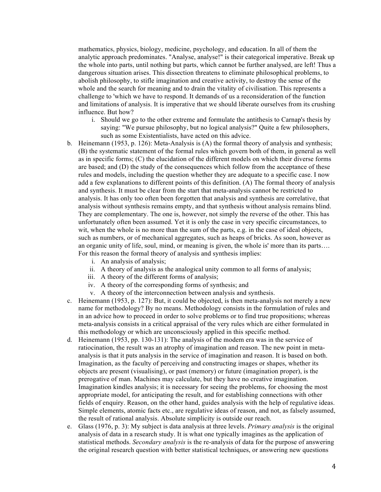mathematics, physics, biology, medicine, psychology, and education. In all of them the analytic approach predominates. "Analyse, analyse!" is their categorical imperative. Break up the whole into parts, until nothing but parts, which cannot be further analysed, are left! Thus a dangerous situation arises. This dissection threatens to eliminate philosophical problems, to abolish philosophy, to stifle imagination and creative activity, to destroy the sense of the whole and the search for meaning and to drain the vitality of civilisation. This represents a challenge to 'which we have to respond. It demands of us a reconsideration of the function and limitations of analysis. It is imperative that we should liberate ourselves from its crushing influence. But how?

- i. Should we go to the other extreme and formulate the antithesis to Carnap's thesis by saying: "We pursue philosophy, but no logical analysis?" Quite a few philosophers, such as some Existentialists, have acted on this advice.
- b. Heinemann (1953, p. 126): Meta-Analysis is (A) the formal theory of analysis and synthesis; (B) the systematic statement of the formal rules which govern both of them, in general as well as in specific forms; (C) the elucidation of the different models on which their diverse forms are based; and (D) the study of the consequences which follow from the acceptance of these rules and models, including the question whether they are adequate to a specific case. I now add a few explanations to different points of this definition. (A) The formal theory of analysis and synthesis. It must be clear from the start that meta-analysis cannot be restricted to analysis. It has only too often been forgotten that analysis and synthesis are correlative, that analysis without synthesis remains empty, and that synthesis without analysis remains blind. They are complementary. The one is, however, not simply the reverse of the other. This has unfortunately often been assumed. Yet it is only the case in very specific circumstances, to wit, when the whole is no more than the sum of the parts, e.g. in the case of ideal objects, such as numbers, or of mechanical aggregates, such as heaps of bricks. As soon, however as an organic unity of life, soul, mind, or meaning is given, the whole is' more than its parts…. For this reason the formal theory of analysis and synthesis implies:
	- i. An analysis of analysis;
	- ii. A theory of analysis as the analogical unity common to all forms of analysis;
	- iii. A theory of the different forms of analysis;
	- iv. A theory of the corresponding forms of synthesis; and
	- v. A theory of the interconnection between analysis and synthesis.
- c. Heinemann (1953, p. 127): But, it could be objected, is then meta-analysis not merely a new name for methodology? By no means. Methodology consists in the formulation of rules and in an advice how to proceed in order to solve problems or to find true propositions; whereas meta-analysis consists in a critical appraisal of the very rules which are either formulated in this methodology or which are unconsciously applied in this specific method.
- d. Heinemann (1953, pp. 130-131): The analysis of the modem era was in the service of ratiocination, the result was an atrophy of imagination and reason. The new point in metaanalysis is that it puts analysis in the service of imagination and reason. It is based on both. Imagination, as the faculty of perceiving and constructing images or shapes, whether its objects are present (visualising), or past (memory) or future (imagination proper), is the prerogative of man. Machines may calculate, but they have no creative imagination. Imagination kindles analysis; it is necessary for seeing the problems, for choosing the most appropriate model, for anticipating the result, and for establishing connections with other fields of enquiry. Reason, on the other hand, guides analysis with the help of regulative ideas. Simple elements, atomic facts etc., are regulative ideas of reason, and not, as falsely assumed, the result of rational analysis. Absolute simplicity is outside our reach.
- e. Glass (1976, p. 3): My subject is data analysis at three levels. *Primary analysis* is the original analysis of data in a research study. It is what one typically imagines as the application of statistical methods. *Secondary analysis* is the re-analysis of data for the purpose of answering the original research question with better statistical techniques, or answering new questions